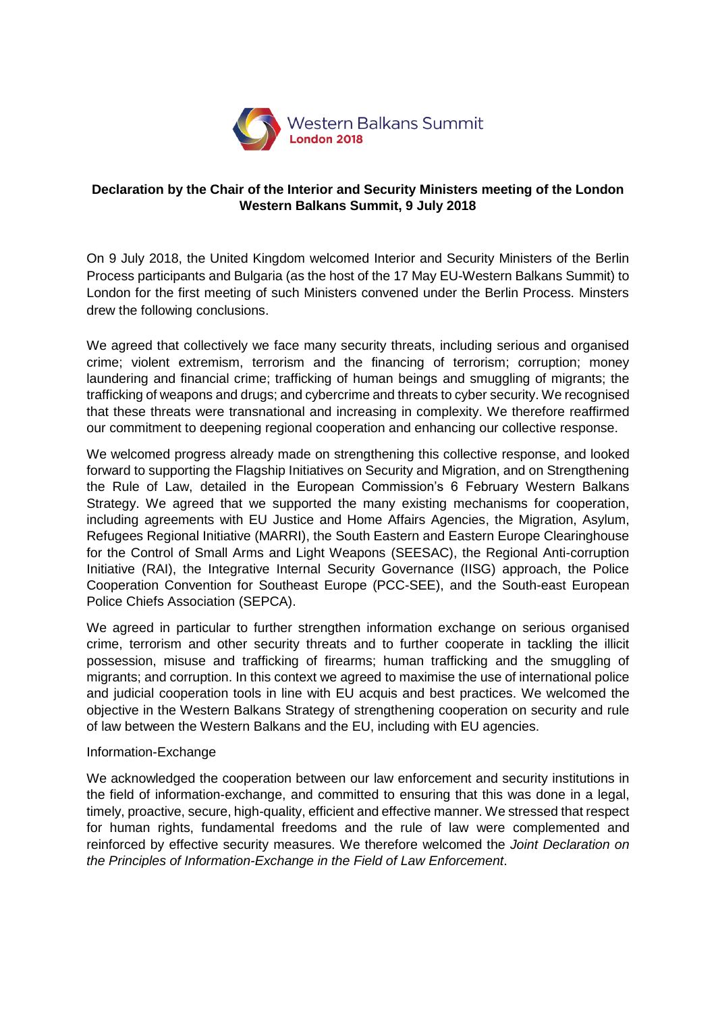

## **Declaration by the Chair of the Interior and Security Ministers meeting of the London Western Balkans Summit, 9 July 2018**

On 9 July 2018, the United Kingdom welcomed Interior and Security Ministers of the Berlin Process participants and Bulgaria (as the host of the 17 May EU-Western Balkans Summit) to London for the first meeting of such Ministers convened under the Berlin Process. Minsters drew the following conclusions.

We agreed that collectively we face many security threats, including serious and organised crime; violent extremism, terrorism and the financing of terrorism; corruption; money laundering and financial crime; trafficking of human beings and smuggling of migrants; the trafficking of weapons and drugs; and cybercrime and threats to cyber security. We recognised that these threats were transnational and increasing in complexity. We therefore reaffirmed our commitment to deepening regional cooperation and enhancing our collective response.

We welcomed progress already made on strengthening this collective response, and looked forward to supporting the Flagship Initiatives on Security and Migration, and on Strengthening the Rule of Law, detailed in the European Commission's 6 February Western Balkans Strategy. We agreed that we supported the many existing mechanisms for cooperation, including agreements with EU Justice and Home Affairs Agencies, the Migration, Asylum, Refugees Regional Initiative (MARRI), the South Eastern and Eastern Europe Clearinghouse for the Control of Small Arms and Light Weapons (SEESAC), the Regional Anti-corruption Initiative (RAI), the Integrative Internal Security Governance (IISG) approach, the Police Cooperation Convention for Southeast Europe (PCC-SEE), and the South-east European Police Chiefs Association (SEPCA).

We agreed in particular to further strengthen information exchange on serious organised crime, terrorism and other security threats and to further cooperate in tackling the illicit possession, misuse and trafficking of firearms; human trafficking and the smuggling of migrants; and corruption. In this context we agreed to maximise the use of international police and judicial cooperation tools in line with EU acquis and best practices. We welcomed the objective in the Western Balkans Strategy of strengthening cooperation on security and rule of law between the Western Balkans and the EU, including with EU agencies.

## Information-Exchange

We acknowledged the cooperation between our law enforcement and security institutions in the field of information-exchange, and committed to ensuring that this was done in a legal, timely, proactive, secure, high-quality, efficient and effective manner. We stressed that respect for human rights, fundamental freedoms and the rule of law were complemented and reinforced by effective security measures. We therefore welcomed the *Joint Declaration on the Principles of Information-Exchange in the Field of Law Enforcement*.